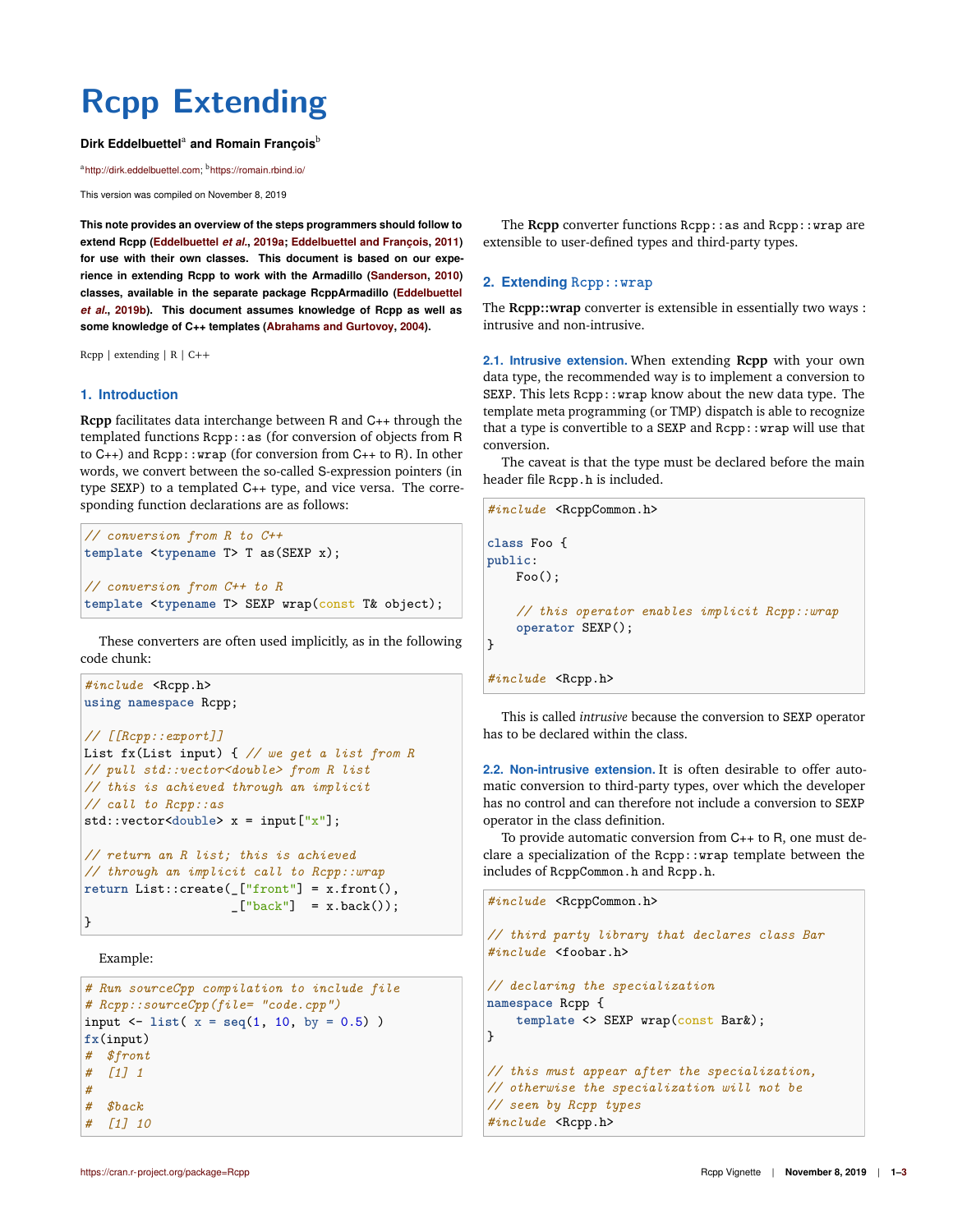# **Rcpp Extending**

#### Dirk Eddelbuettel<sup>a</sup> and Romain François<sup>b</sup>

<sup>a</sup>http://dirk.eddelbuettel.com; <sup>b</sup>https://romain.rbind.io/

This version was compiled on November 8, 2019

**This note provides an overview of the steps programmers should follow to extend Rcpp (Eddelbuettel** *et al.***, 2019a; Eddelbuettel and François, 2011) for use with their own classes. This document is based on our experience in extending Rcpp to work with the Armadillo (Sanderson, 2010) classes, available in the separate package RcppArmadillo (Eddelbuettel** *et al.***, 2019b). This document assumes knowledge of Rcpp as well as some knowledge of C++ templates (Abrahams and Gurtovoy, 2004).**

 $Rcpp$  | extending | R |  $C++$ 

#### **1. Introduction**

**Rcpp** facilitates data interchange between R and C++ through the templated functions Rcpp::as (for conversion of objects from R to C++) and Rcpp::wrap (for conversion from C++ to R). In other words, we convert between the so-called S-expression pointers (in type SEXP) to a templated C++ type, and vice versa. The corresponding function declarations are as follows:

```
// conversion from R to C++
template <typename T> T as(SEXP x);
// conversion from C++ to R
template <typename T> SEXP wrap(const T& object);
```
These converters are often used implicitly, as in the following code chunk:

```
#include <Rcpp.h>
using namespace Rcpp;
// [[Rcpp::export]]
List fx(List input) { // we get a list from R
// pull std::vector<double> from R list
// this is achieved through an implicit
// call to Rcpp::as
std::vector \leq double> x = input["x"];
// return an R list; this is achieved
// through an implicit call to Rcpp::wrap
return List::create(_["front"] = x.front(),
                     [\n    "back"] = x.\text{back()};
```
Example:

}

```
# Run sourceCpp compilation to include file
# Rcpp::sourceCpp(file= "code.cpp")
input <- list( x = seq(1, 10, by = 0.5) )
fx(input)
# $front
# [1] 1
#
# $back
# [1] 10
```
The **Rcpp** converter functions Rcpp::as and Rcpp::wrap are extensible to user-defined types and third-party types.

## **2. Extending Rcpp::wrap**

The **Rcpp::wrap** converter is extensible in essentially two ways : intrusive and non-intrusive.

**2.1. Intrusive extension.** When extending **Rcpp** with your own data type, the recommended way is to implement a conversion to SEXP. This lets Rcpp::wrap know about the new data type. The template meta programming (or TMP) dispatch is able to recognize that a type is convertible to a SEXP and Rcpp: : wrap will use that conversion.

The caveat is that the type must be declared before the main header file Rcpp.h is included.

```
#include <RcppCommon.h>
class Foo {
public:
   Foo():
    // this operator enables implicit Rcpp::wrap
    operator SEXP();
}
#include <Rcpp.h>
```
This is called *intrusive* because the conversion to SEXP operator has to be declared within the class.

**2.2. Non-intrusive extension.** It is often desirable to offer automatic conversion to third-party types, over which the developer has no control and can therefore not include a conversion to SEXP operator in the class definition.

To provide automatic conversion from C++ to R, one must declare a specialization of the Rcpp::wrap template between the includes of RcppCommon.h and Rcpp.h.

```
#include <RcppCommon.h>
```

```
// third party library that declares class Bar
#include <foobar.h>
```

```
// declaring the specialization
namespace Rcpp {
   template <> SEXP wrap(const Bark);
}
// this must appear after the specialization,
// otherwise the specialization will not be
// seen by Rcpp types
```

```
#include <Rcpp.h>
```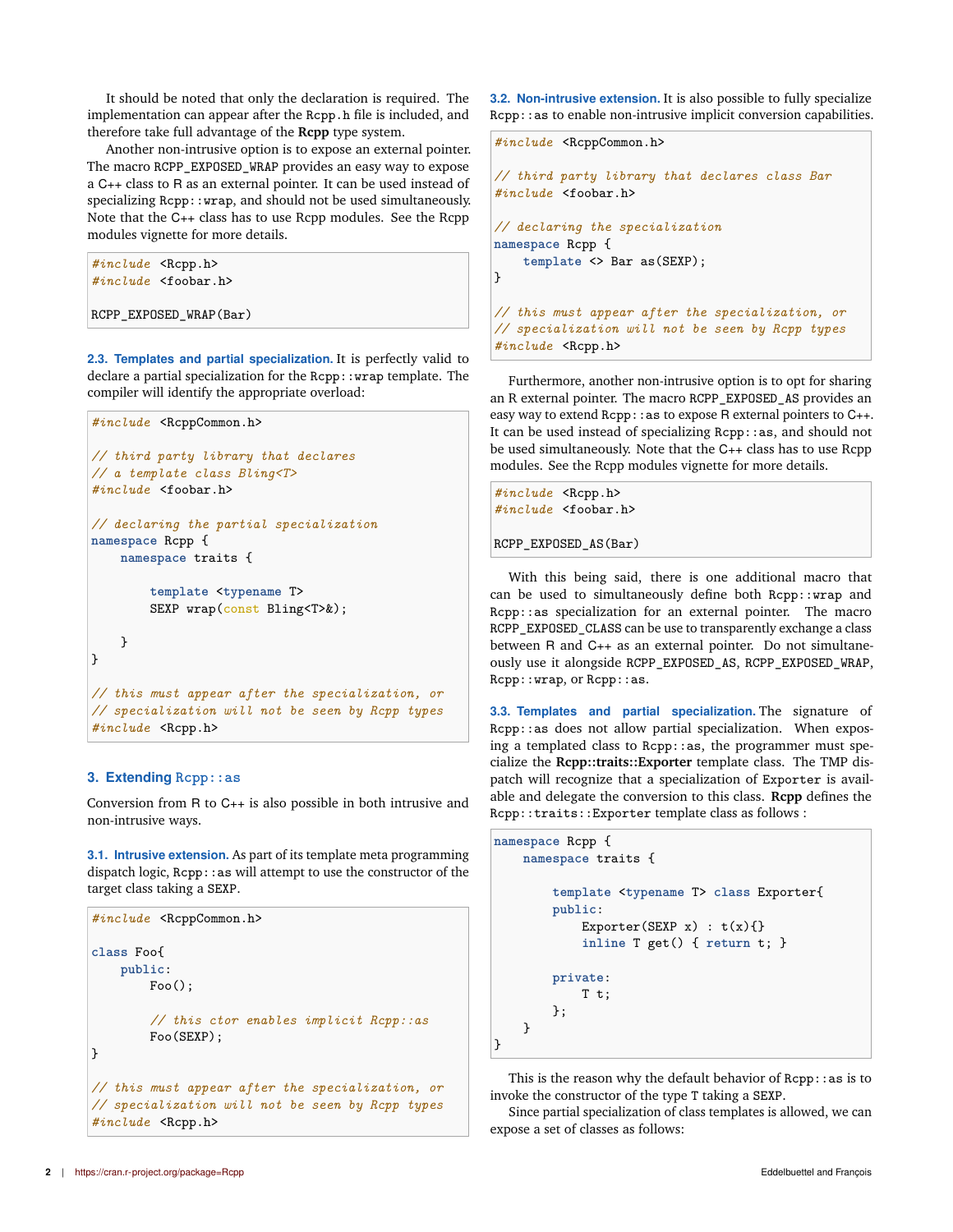It should be noted that only the declaration is required. The implementation can appear after the Rcpp. h file is included, and therefore take full advantage of the **Rcpp** type system.

Another non-intrusive option is to expose an external pointer. The macro RCPP\_EXPOSED\_WRAP provides an easy way to expose a C++ class to R as an external pointer. It can be used instead of specializing Rcpp:: wrap, and should not be used simultaneously. Note that the C++ class has to use Rcpp modules. See the Rcpp modules vignette for more details.

```
#include <Rcpp.h>
#include <foobar.h>
RCPP_EXPOSED_WRAP(Bar)
```
**2.3. Templates and partial specialization.** It is perfectly valid to declare a partial specialization for the Rcpp:: wrap template. The compiler will identify the appropriate overload:

```
#include <RcppCommon.h>
// third party library that declares
// a template class Bling<T>
#include <foobar.h>
// declaring the partial specialization
namespace Rcpp {
    namespace traits {
        template <typename T>
        SEXP wrap(const Bling<T>&);
   }
}
// this must appear after the specialization, or
// specialization will not be seen by Rcpp types
#include <Rcpp.h>
```
### **3. Extending Rcpp::as**

Conversion from R to C++ is also possible in both intrusive and non-intrusive ways.

**3.1. Intrusive extension.** As part of its template meta programming dispatch logic, Rcpp::as will attempt to use the constructor of the target class taking a SEXP.

```
#include <RcppCommon.h>
class Foo{
   public:
        Foo();
        // this ctor enables implicit Rcpp::as
        Foo(SEXP);
}
// this must appear after the specialization, or
// specialization will not be seen by Rcpp types
#include <Rcpp.h>
```
**3.2. Non-intrusive extension.** It is also possible to fully specialize Rcpp::as to enable non-intrusive implicit conversion capabilities.

```
#include <RcppCommon.h>
// third party library that declares class Bar
#include <foobar.h>
// declaring the specialization
namespace Rcpp {
    template <> Bar as(SEXP);
}
// this must appear after the specialization, or
// specialization will not be seen by Rcpp types
#include <Rcpp.h>
```
Furthermore, another non-intrusive option is to opt for sharing an R external pointer. The macro RCPP\_EXPOSED\_AS provides an easy way to extend Rcpp: : as to expose R external pointers to C++. It can be used instead of specializing Rcpp::as, and should not be used simultaneously. Note that the C++ class has to use Rcpp modules. See the Rcpp modules vignette for more details.

```
#include <Rcpp.h>
#include <foobar.h>
```
RCPP\_EXPOSED\_AS(Bar)

With this being said, there is one additional macro that can be used to simultaneously define both Rcpp::wrap and Rcpp::as specialization for an external pointer. The macro RCPP\_EXPOSED\_CLASS can be use to transparently exchange a class between R and C++ as an external pointer. Do not simultaneously use it alongside RCPP\_EXPOSED\_AS, RCPP\_EXPOSED\_WRAP, Rcpp::wrap, or Rcpp::as.

**3.3. Templates and partial specialization.** The signature of Rcpp::as does not allow partial specialization. When exposing a templated class to Rcpp::as, the programmer must specialize the **Rcpp::traits::Exporter** template class. The TMP dispatch will recognize that a specialization of Exporter is available and delegate the conversion to this class. **Rcpp** defines the Rcpp::traits::Exporter template class as follows :

```
namespace Rcpp {
    namespace traits {
        template <typename T> class Exporter{
        public:
            Exporter(SEXP x) : t(x){}inline T get() { return t; }
        private:
            T t;
        };
    }
}
```
This is the reason why the default behavior of  $Rep: :as$  is to invoke the constructor of the type T taking a SEXP.

Since partial specialization of class templates is allowed, we can expose a set of classes as follows: